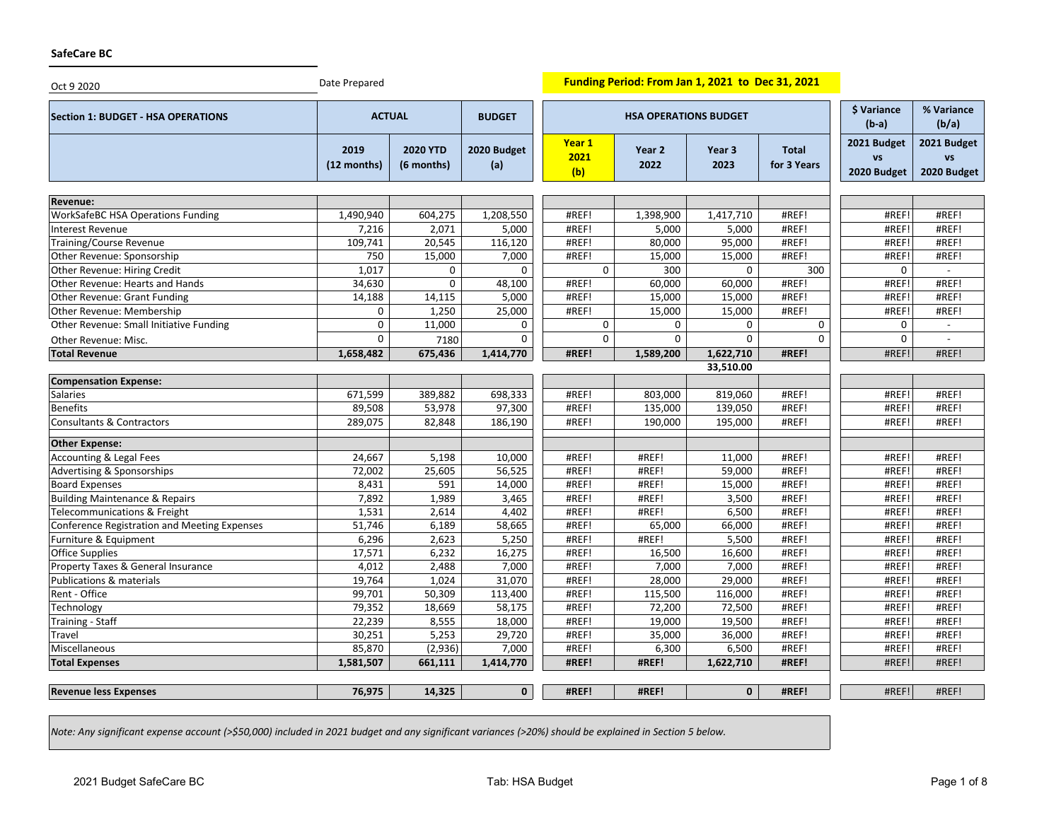## **SafeCare BC**

| Oct 9 2020                                   | Date Prepared       |                               |                    |                              | Funding Period: From Jan 1, 2021 to Dec 31, 2021 |                           |                             |                                  |                                         |
|----------------------------------------------|---------------------|-------------------------------|--------------------|------------------------------|--------------------------------------------------|---------------------------|-----------------------------|----------------------------------|-----------------------------------------|
| <b>Section 1: BUDGET - HSA OPERATIONS</b>    | <b>ACTUAL</b>       |                               | <b>BUDGET</b>      | <b>HSA OPERATIONS BUDGET</b> |                                                  |                           |                             | <b>\$ Variance</b><br>$(b-a)$    | % Variance<br>(b/a)                     |
|                                              | 2019<br>(12 months) | <b>2020 YTD</b><br>(6 months) | 2020 Budget<br>(a) | Year 1<br>2021<br>(b)        | Year 2<br>2022                                   | Year <sub>3</sub><br>2023 | <b>Total</b><br>for 3 Years | 2021 Budget<br>VS<br>2020 Budget | 2021 Budget<br><b>VS</b><br>2020 Budget |
| Revenue:                                     |                     |                               |                    |                              |                                                  |                           |                             |                                  |                                         |
| <b>WorkSafeBC HSA Operations Funding</b>     | 1,490,940           | 604,275                       | 1,208,550          | #REF!                        | 1,398,900                                        | 1,417,710                 | #REF!                       | #REF!                            | #REF!                                   |
| Interest Revenue                             | 7,216               | 2,071                         | 5,000              | #REF!                        | 5,000                                            | 5,000                     | #REF!                       | #REF!                            | #REF!                                   |
| <b>Training/Course Revenue</b>               | 109,741             | 20,545                        | 116,120            | #REF!                        | 80,000                                           | 95,000                    | #REF!                       | #REF!                            | #REF!                                   |
| Other Revenue: Sponsorship                   | 750                 | 15,000                        | 7,000              | #REF!                        | 15,000                                           | 15,000                    | #REF!                       | #REF!                            | #REF!                                   |
| Other Revenue: Hiring Credit                 | 1,017               | 0                             | 0                  | $\mathbf 0$                  | 300                                              | $\mathbf 0$               | 300                         | $\mathbf 0$                      |                                         |
| Other Revenue: Hearts and Hands              | 34,630              | 0                             | 48,100             | #REF!                        | 60,000                                           | 60,000                    | #REF!                       | #REF!                            | #REF!                                   |
| Other Revenue: Grant Funding                 | 14,188              | 14,115                        | 5,000              | #REF!                        | 15,000                                           | 15,000                    | #REF!                       | #REF!                            | #REF!                                   |
| Other Revenue: Membership                    | 0                   | 1,250                         | 25,000             | #REF!                        | 15,000                                           | 15,000                    | #REF!                       | #REF!                            | #REF!                                   |
| Other Revenue: Small Initiative Funding      | 0                   | 11,000                        | 0                  | 0                            | 0                                                | 0                         | 0                           | $\mathbf 0$                      | $\overline{a}$                          |
| Other Revenue: Misc.                         | 0                   | 7180                          | 0                  | 0                            | 0                                                | $\mathbf 0$               | $\mathbf{0}$                | $\mathbf 0$                      |                                         |
| <b>Total Revenue</b>                         | 1,658,482           | 675,436                       | 1,414,770          | #REF!                        | 1,589,200                                        | 1,622,710                 | #REF!                       | #REF!                            | #REF!                                   |
|                                              |                     |                               |                    |                              |                                                  | 33,510.00                 |                             |                                  |                                         |
| <b>Compensation Expense:</b>                 |                     |                               |                    |                              |                                                  |                           |                             |                                  |                                         |
| Salaries                                     | 671,599             | 389,882                       | 698,333            | #REF!                        | 803,000                                          | 819,060                   | #REF!                       | #REF!                            | #REF!                                   |
| <b>Benefits</b>                              | 89,508              | 53,978                        | 97,300             | #REF!                        | 135,000                                          | 139,050                   | #REF!                       | #REF!                            | #REF!                                   |
| Consultants & Contractors                    | 289,075             | 82,848                        | 186,190            | #REF!                        | 190,000                                          | 195,000                   | #REF!                       | #REF!                            | #REF!                                   |
| <b>Other Expense:</b>                        |                     |                               |                    |                              |                                                  |                           |                             |                                  |                                         |
| Accounting & Legal Fees                      | 24,667              | 5,198                         | 10,000             | #REF!                        | #REF!                                            | 11,000                    | #REF!                       | #REF!                            | #REF!                                   |
| Advertising & Sponsorships                   | 72,002              | 25,605                        | 56,525             | #REF!                        | #REF!                                            | 59,000                    | #REF!                       | #REF!                            | #REF!                                   |
| <b>Board Expenses</b>                        | 8,431               | 591                           | 14,000             | #REF!                        | #REF!                                            | 15,000                    | #REF!                       | #REF!                            | #REF!                                   |
| <b>Building Maintenance &amp; Repairs</b>    | 7,892               | 1,989                         | 3,465              | #REF!                        | #REF!                                            | 3,500                     | #REF!                       | #REF!                            | #REF!                                   |
| Telecommunications & Freight                 | 1,531               | 2,614                         | 4,402              | #REF!                        | #REF!                                            | 6,500                     | #REF!                       | #REF!                            | #REF!                                   |
| Conference Registration and Meeting Expenses | 51,746              | 6,189                         | 58,665             | #REF!                        | 65,000                                           | 66,000                    | #REF!                       | #REF!                            | #REF!                                   |
| Furniture & Equipment                        | 6,296               | 2,623                         | 5,250              | #REF!                        | #REF!                                            | 5,500                     | #REF!                       | #REF!                            | #REF!                                   |
| <b>Office Supplies</b>                       | 17,571              | 6,232                         | 16,275             | #REF!                        | 16,500                                           | 16,600                    | #REF!                       | #REF!                            | #REF!                                   |
| Property Taxes & General Insurance           | 4,012               | 2,488                         | 7,000              | #REF!                        | 7,000                                            | 7,000                     | #REF!                       | #REF!                            | #REF!                                   |
| Publications & materials                     | 19,764              | 1,024                         | 31,070             | #REF!                        | 28,000                                           | 29,000                    | #REF!                       | #REF!                            | #REF!                                   |
| Rent - Office                                | 99,701              | 50,309                        | 113,400            | #REF!                        | 115,500                                          | 116,000                   | #REF!                       | #REF!                            | #REF!                                   |
| Technology                                   | 79,352              | 18,669                        | 58,175             | #REF!                        | 72,200                                           | 72,500                    | #REF!                       | #REF!                            | #REF!                                   |
| Training - Staff                             | 22,239              | 8,555                         | 18,000             | #REF!                        | 19,000                                           | 19,500                    | #REF!                       | #REF!                            | #REF!                                   |
| Travel                                       | 30,251              | 5,253                         | 29,720             | #REF!                        | 35,000                                           | 36,000                    | #REF!                       | #REF!                            | #REF!                                   |
| Miscellaneous                                | 85,870              | (2,936)                       | 7,000              | #REF!                        | 6,300                                            | 6,500                     | #REF!                       | #REF!                            | #REF!                                   |
| <b>Total Expenses</b>                        | 1,581,507           | 661,111                       | 1,414,770          | #REF!                        | #REF!                                            | 1,622,710                 | #REF!                       | #REF!                            | #REF!                                   |
| <b>Revenue less Expenses</b>                 | 76,975              | 14,325                        | 0                  | #REF!                        | #REF!                                            | $\mathbf{0}$              | #REF!                       | #REF!                            | #REF!                                   |

*Note: Any significant expense account (>\$50,000) included in 2021 budget and any significant variances (>20%) should be explained in Section 5 below.*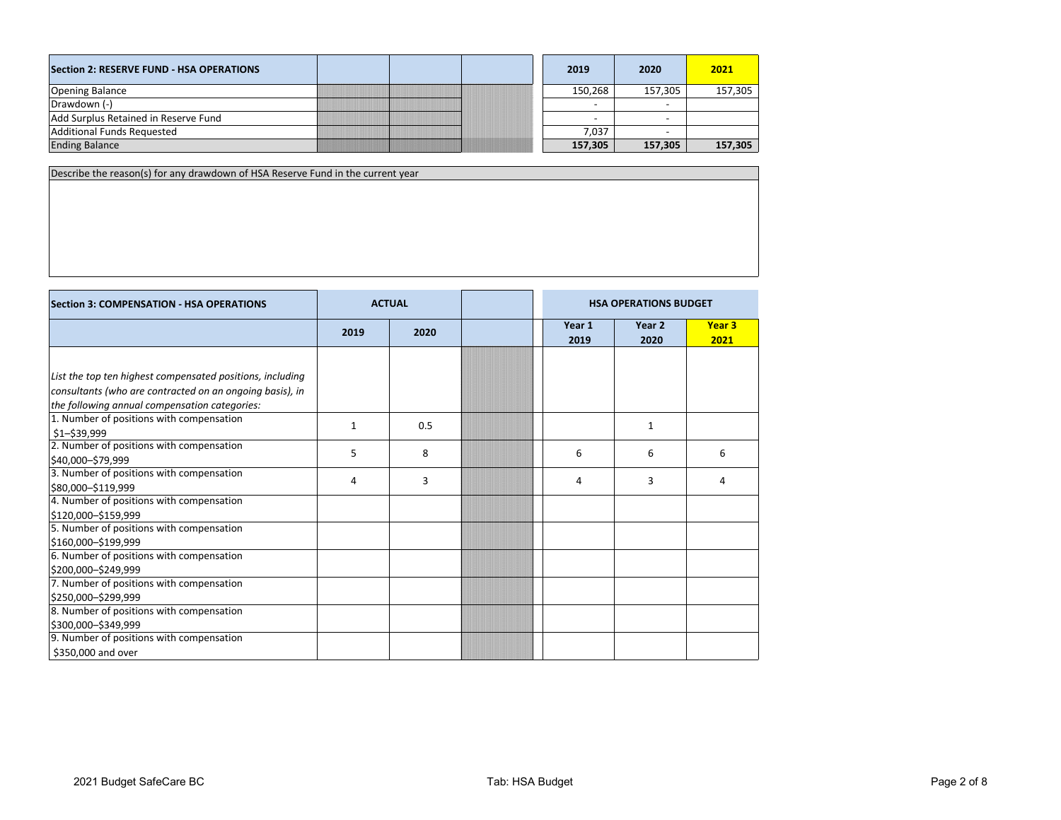| Section 2: RESERVE FUND - HSA OPERATIONS |  | 2019                     | 2020    | 2021    |
|------------------------------------------|--|--------------------------|---------|---------|
| <b>Opening Balance</b>                   |  | 150.268                  | 157.305 | 157,305 |
| Drawdown (-)                             |  | $\overline{\phantom{0}}$ |         |         |
| Add Surplus Retained in Reserve Fund     |  | $\overline{\phantom{0}}$ |         |         |
| Additional Funds Requested               |  | 7.037                    |         |         |
| <b>Ending Balance</b>                    |  | 157,305                  | 157,305 | 157,305 |

Describe the reason(s) for any drawdown of HSA Reserve Fund in the current year

| <b>Section 3: COMPENSATION - HSA OPERATIONS</b>           | <b>ACTUAL</b> |      | <b>HSA OPERATIONS BUDGET</b> |                |                           |
|-----------------------------------------------------------|---------------|------|------------------------------|----------------|---------------------------|
|                                                           | 2019          | 2020 | Year 1<br>2019               | Year 2<br>2020 | Year <sub>3</sub><br>2021 |
|                                                           |               |      |                              |                |                           |
| List the top ten highest compensated positions, including |               |      |                              |                |                           |
| consultants (who are contracted on an ongoing basis), in  |               |      |                              |                |                           |
| the following annual compensation categories:             |               |      |                              |                |                           |
| 1. Number of positions with compensation                  |               |      |                              |                |                           |
| \$1-\$39,999                                              | $\mathbf{1}$  | 0.5  |                              | $\mathbf{1}$   |                           |
| 2. Number of positions with compensation                  | 5             | 8    | 6                            | 6              | 6                         |
| \$40,000-\$79,999                                         |               |      |                              |                |                           |
| 3. Number of positions with compensation                  | 4             | 3    | 4                            | 3              | 4                         |
| \$80,000-\$119,999                                        |               |      |                              |                |                           |
| 4. Number of positions with compensation                  |               |      |                              |                |                           |
| \$120,000-\$159,999                                       |               |      |                              |                |                           |
| 5. Number of positions with compensation                  |               |      |                              |                |                           |
| \$160,000 - \$199,999                                     |               |      |                              |                |                           |
| 6. Number of positions with compensation                  |               |      |                              |                |                           |
| \$200,000-\$249,999                                       |               |      |                              |                |                           |
| 7. Number of positions with compensation                  |               |      |                              |                |                           |
| \$250,000-\$299,999                                       |               |      |                              |                |                           |
| 8. Number of positions with compensation                  |               |      |                              |                |                           |
| \$300,000-\$349,999                                       |               |      |                              |                |                           |
| 9. Number of positions with compensation                  |               |      |                              |                |                           |
| \$350,000 and over                                        |               |      |                              |                |                           |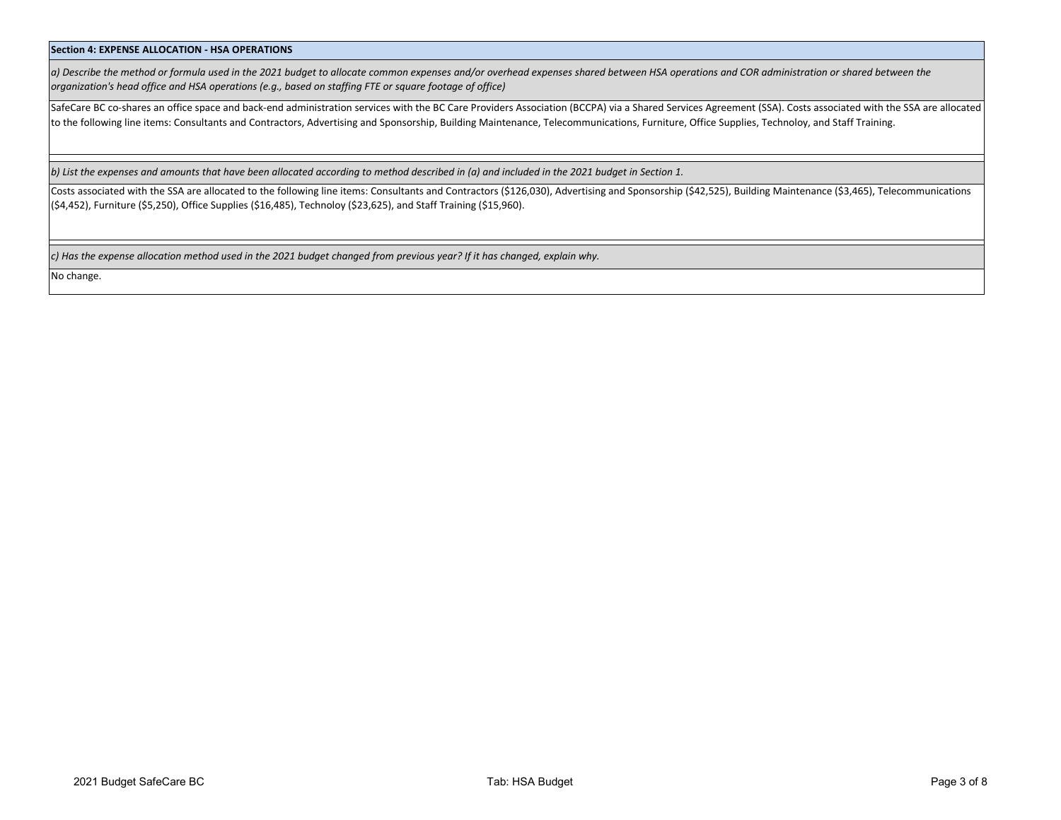## **Section 4: EXPENSE ALLOCATION - HSA OPERATIONS**

*a) Describe the method or formula used in the 2021 budget to allocate common expenses and/or overhead expenses shared between HSA operations and COR administration or shared between the organization's head office and HSA operations (e.g., based on staffing FTE or square footage of office)*

SafeCare BC co-shares an office space and back-end administration services with the BC Care Providers Association (BCCPA) via a Shared Services Agreement (SSA). Costs associated with the SSA are allocated to the following line items: Consultants and Contractors, Advertising and Sponsorship, Building Maintenance, Telecommunications, Furniture, Office Supplies, Technoloy, and Staff Training.

*b) List the expenses and amounts that have been allocated according to method described in (a) and included in the 2021 budget in Section 1.*

Costs associated with the SSA are allocated to the following line items: Consultants and Contractors (\$126,030), Advertising and Sponsorship (\$42,525), Building Maintenance (\$3,465), Telecommunications (\$4,452), Furniture (\$5,250), Office Supplies (\$16,485), Technoloy (\$23,625), and Staff Training (\$15,960).

*c) Has the expense allocation method used in the 2021 budget changed from previous year? If it has changed, explain why.*

No change.